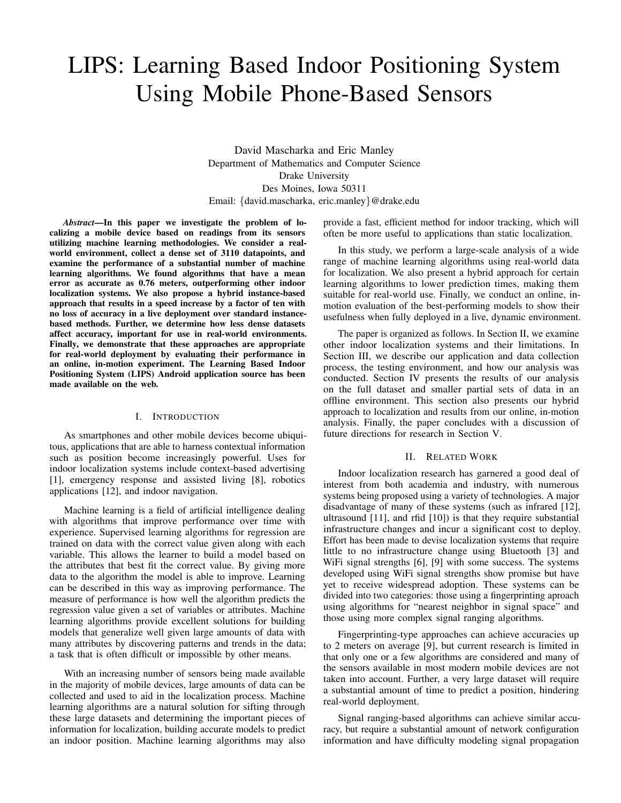# LIPS: Learning Based Indoor Positioning System Using Mobile Phone-Based Sensors

David Mascharka and Eric Manley Department of Mathematics and Computer Science Drake University Des Moines, Iowa 50311 Email: {david.mascharka, eric.manley}@drake.edu

*Abstract*—In this paper we investigate the problem of localizing a mobile device based on readings from its sensors utilizing machine learning methodologies. We consider a realworld environment, collect a dense set of 3110 datapoints, and examine the performance of a substantial number of machine learning algorithms. We found algorithms that have a mean error as accurate as 0.76 meters, outperforming other indoor localization systems. We also propose a hybrid instance-based approach that results in a speed increase by a factor of ten with no loss of accuracy in a live deployment over standard instancebased methods. Further, we determine how less dense datasets affect accuracy, important for use in real-world environments. Finally, we demonstrate that these approaches are appropriate for real-world deployment by evaluating their performance in an online, in-motion experiment. The Learning Based Indoor Positioning System (LIPS) Android application source has been made available on the web.

## I. INTRODUCTION

As smartphones and other mobile devices become ubiquitous, applications that are able to harness contextual information such as position become increasingly powerful. Uses for indoor localization systems include context-based advertising [1], emergency response and assisted living [8], robotics applications [12], and indoor navigation.

Machine learning is a field of artificial intelligence dealing with algorithms that improve performance over time with experience. Supervised learning algorithms for regression are trained on data with the correct value given along with each variable. This allows the learner to build a model based on the attributes that best fit the correct value. By giving more data to the algorithm the model is able to improve. Learning can be described in this way as improving performance. The measure of performance is how well the algorithm predicts the regression value given a set of variables or attributes. Machine learning algorithms provide excellent solutions for building models that generalize well given large amounts of data with many attributes by discovering patterns and trends in the data; a task that is often difficult or impossible by other means.

With an increasing number of sensors being made available in the majority of mobile devices, large amounts of data can be collected and used to aid in the localization process. Machine learning algorithms are a natural solution for sifting through these large datasets and determining the important pieces of information for localization, building accurate models to predict an indoor position. Machine learning algorithms may also provide a fast, efficient method for indoor tracking, which will often be more useful to applications than static localization.

In this study, we perform a large-scale analysis of a wide range of machine learning algorithms using real-world data for localization. We also present a hybrid approach for certain learning algorithms to lower prediction times, making them suitable for real-world use. Finally, we conduct an online, inmotion evaluation of the best-performing models to show their usefulness when fully deployed in a live, dynamic environment.

The paper is organized as follows. In Section II, we examine other indoor localization systems and their limitations. In Section III, we describe our application and data collection process, the testing environment, and how our analysis was conducted. Section IV presents the results of our analysis on the full dataset and smaller partial sets of data in an offline environment. This section also presents our hybrid approach to localization and results from our online, in-motion analysis. Finally, the paper concludes with a discussion of future directions for research in Section V.

#### II. RELATED WORK

Indoor localization research has garnered a good deal of interest from both academia and industry, with numerous systems being proposed using a variety of technologies. A major disadvantage of many of these systems (such as infrared [12], ultrasound [11], and rfid [10]) is that they require substantial infrastructure changes and incur a significant cost to deploy. Effort has been made to devise localization systems that require little to no infrastructure change using Bluetooth [3] and WiFi signal strengths [6], [9] with some success. The systems developed using WiFi signal strengths show promise but have yet to receive widespread adoption. These systems can be divided into two categories: those using a fingerprinting aproach using algorithms for "nearest neighbor in signal space" and those using more complex signal ranging algorithms.

Fingerprinting-type approaches can achieve accuracies up to 2 meters on average [9], but current research is limited in that only one or a few algorithms are considered and many of the sensors available in most modern mobile devices are not taken into account. Further, a very large dataset will require a substantial amount of time to predict a position, hindering real-world deployment.

Signal ranging-based algorithms can achieve similar accuracy, but require a substantial amount of network configuration information and have difficulty modeling signal propagation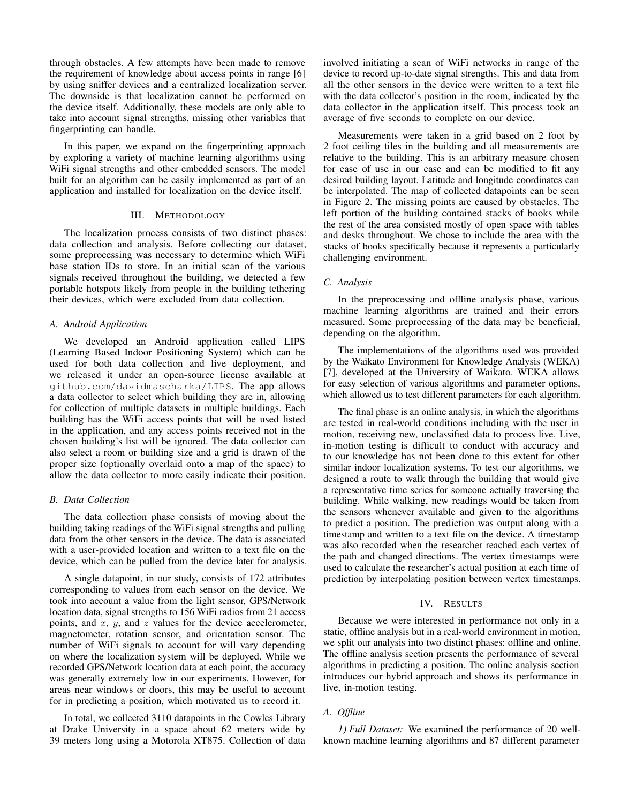through obstacles. A few attempts have been made to remove the requirement of knowledge about access points in range [6] by using sniffer devices and a centralized localization server. The downside is that localization cannot be performed on the device itself. Additionally, these models are only able to take into account signal strengths, missing other variables that fingerprinting can handle.

In this paper, we expand on the fingerprinting approach by exploring a variety of machine learning algorithms using WiFi signal strengths and other embedded sensors. The model built for an algorithm can be easily implemented as part of an application and installed for localization on the device itself.

## III. METHODOLOGY

The localization process consists of two distinct phases: data collection and analysis. Before collecting our dataset, some preprocessing was necessary to determine which WiFi base station IDs to store. In an initial scan of the various signals received throughout the building, we detected a few portable hotspots likely from people in the building tethering their devices, which were excluded from data collection.

#### *A. Android Application*

We developed an Android application called LIPS (Learning Based Indoor Positioning System) which can be used for both data collection and live deployment, and we released it under an open-source license available at github.com/davidmascharka/LIPS. The app allows a data collector to select which building they are in, allowing for collection of multiple datasets in multiple buildings. Each building has the WiFi access points that will be used listed in the application, and any access points received not in the chosen building's list will be ignored. The data collector can also select a room or building size and a grid is drawn of the proper size (optionally overlaid onto a map of the space) to allow the data collector to more easily indicate their position.

#### *B. Data Collection*

The data collection phase consists of moving about the building taking readings of the WiFi signal strengths and pulling data from the other sensors in the device. The data is associated with a user-provided location and written to a text file on the device, which can be pulled from the device later for analysis.

A single datapoint, in our study, consists of 172 attributes corresponding to values from each sensor on the device. We took into account a value from the light sensor, GPS/Network location data, signal strengths to 156 WiFi radios from 21 access points, and  $x$ ,  $y$ , and  $z$  values for the device accelerometer, magnetometer, rotation sensor, and orientation sensor. The number of WiFi signals to account for will vary depending on where the localization system will be deployed. While we recorded GPS/Network location data at each point, the accuracy was generally extremely low in our experiments. However, for areas near windows or doors, this may be useful to account for in predicting a position, which motivated us to record it.

In total, we collected 3110 datapoints in the Cowles Library at Drake University in a space about 62 meters wide by 39 meters long using a Motorola XT875. Collection of data involved initiating a scan of WiFi networks in range of the device to record up-to-date signal strengths. This and data from all the other sensors in the device were written to a text file with the data collector's position in the room, indicated by the data collector in the application itself. This process took an average of five seconds to complete on our device.

Measurements were taken in a grid based on 2 foot by 2 foot ceiling tiles in the building and all measurements are relative to the building. This is an arbitrary measure chosen for ease of use in our case and can be modified to fit any desired building layout. Latitude and longitude coordinates can be interpolated. The map of collected datapoints can be seen in Figure 2. The missing points are caused by obstacles. The left portion of the building contained stacks of books while the rest of the area consisted mostly of open space with tables and desks throughout. We chose to include the area with the stacks of books specifically because it represents a particularly challenging environment.

#### *C. Analysis*

In the preprocessing and offline analysis phase, various machine learning algorithms are trained and their errors measured. Some preprocessing of the data may be beneficial, depending on the algorithm.

The implementations of the algorithms used was provided by the Waikato Environment for Knowledge Analysis (WEKA) [7], developed at the University of Waikato. WEKA allows for easy selection of various algorithms and parameter options, which allowed us to test different parameters for each algorithm.

The final phase is an online analysis, in which the algorithms are tested in real-world conditions including with the user in motion, receiving new, unclassified data to process live. Live, in-motion testing is difficult to conduct with accuracy and to our knowledge has not been done to this extent for other similar indoor localization systems. To test our algorithms, we designed a route to walk through the building that would give a representative time series for someone actually traversing the building. While walking, new readings would be taken from the sensors whenever available and given to the algorithms to predict a position. The prediction was output along with a timestamp and written to a text file on the device. A timestamp was also recorded when the researcher reached each vertex of the path and changed directions. The vertex timestamps were used to calculate the researcher's actual position at each time of prediction by interpolating position between vertex timestamps.

#### IV. RESULTS

Because we were interested in performance not only in a static, offline analysis but in a real-world environment in motion, we split our analysis into two distinct phases: offline and online. The offline analysis section presents the performance of several algorithms in predicting a position. The online analysis section introduces our hybrid approach and shows its performance in live, in-motion testing.

## *A. Offline*

*1) Full Dataset:* We examined the performance of 20 wellknown machine learning algorithms and 87 different parameter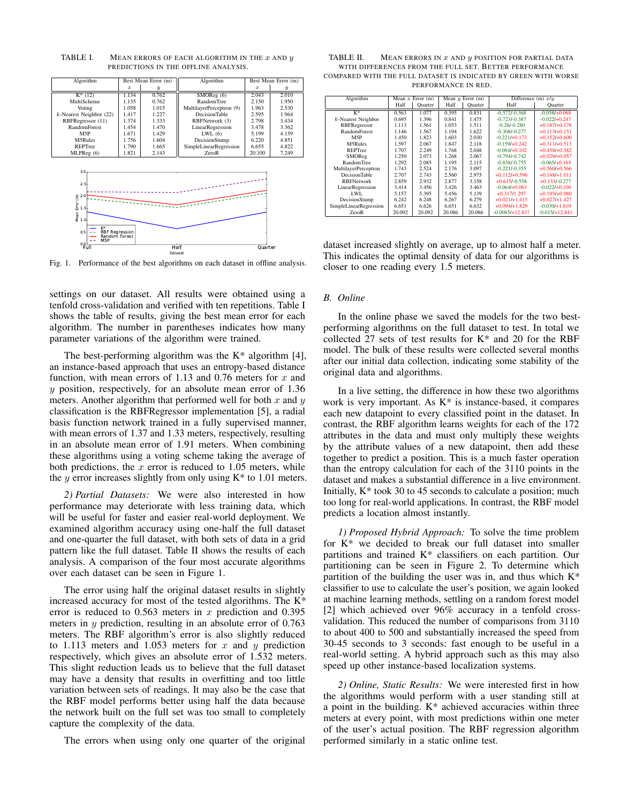| Algorithm                                                                                                                                 | Best Mean Error (m) |                  | Algorithm                | Best Mean Error (m) |                  |
|-------------------------------------------------------------------------------------------------------------------------------------------|---------------------|------------------|--------------------------|---------------------|------------------|
|                                                                                                                                           | $\boldsymbol{x}$    | $\boldsymbol{y}$ |                          | $\boldsymbol{x}$    | $\boldsymbol{y}$ |
| $K^*$ (12)                                                                                                                                | 1.134               | 0.762            | SMOReg (6)               | 2.043               | 2.010            |
| MultiScheme                                                                                                                               | 1.135               | 0.762            | <b>RandomTree</b>        | 2.150               | 1.950            |
| Voting                                                                                                                                    | 1.058               | 1.015            | MultilayerPerceptron (9) | 1.963               | 2.530            |
| $k$ -Nearest Neighbor (22)                                                                                                                | 1.417               | 1.227            | <b>DecisionTable</b>     | 2.595               | 1.964            |
| RBFRegressor (11)                                                                                                                         | 1.374               | 1.333            | RBFNetwork (3)           | 2.798               | 3.434            |
| RandomForest                                                                                                                              | 1.454               | 1.470            | LinearRegression         | 3.478               | 3.362            |
| M <sub>5</sub> P                                                                                                                          | 1.671               | 1.429            | LWL(6)                   | 5.199               | 4.159            |
| M5Rules                                                                                                                                   | 1.756               | 1.604            | DecisionStump            | 6.220               | 4.851            |
| REPTree                                                                                                                                   | 1.790               | 1.665            | SimpleLinearRegression   | 6.655               | 4.822            |
| MLPReg (6)                                                                                                                                | 1.821               | 2.143            | ZeroR                    | 20.100              | 7.249            |
| 3.0 <sub>1</sub><br>2.5<br>$\begin{bmatrix}\n\mathbf{2.0} \\ \mathbf{5.0} \\ \mathbf{5.1} \\ \mathbf{6.0} \\ \mathbf{7.0}\n\end{bmatrix}$ |                     |                  |                          |                     |                  |
|                                                                                                                                           |                     |                  |                          |                     |                  |

TABLE I. MEAN ERRORS OF EACH ALGORITHM IN THE  $x$  and  $y$ PREDICTIONS IN THE OFFLINE ANALYSIS.

Dataset Fig. 1. Performance of the best algorithms on each dataset in offline analysis.

settings on our dataset. All results were obtained using a tenfold cross-validation and verified with ten repetitions. Table I shows the table of results, giving the best mean error for each algorithm. The number in parentheses indicates how many parameter variations of the algorithm were trained.

The best-performing algorithm was the  $K^*$  algorithm [4], an instance-based approach that uses an entropy-based distance function, with mean errors of 1.13 and 0.76 meters for  $x$  and y position, respectively, for an absolute mean error of 1.36 meters. Another algorithm that performed well for both  $x$  and  $y$ classification is the RBFRegressor implementation [5], a radial basis function network trained in a fully supervised manner, with mean errors of 1.37 and 1.33 meters, respectively, resulting in an absolute mean error of 1.91 meters. When combining these algorithms using a voting scheme taking the average of both predictions, the  $x$  error is reduced to 1.05 meters, while the  $y$  error increases slightly from only using  $K^*$  to 1.01 meters.

*2) Partial Datasets:* We were also interested in how performance may deteriorate with less training data, which will be useful for faster and easier real-world deployment. We examined algorithm accuracy using one-half the full dataset and one-quarter the full dataset, with both sets of data in a grid pattern like the full dataset. Table II shows the results of each analysis. A comparison of the four most accurate algorithms over each dataset can be seen in Figure 1.

The error using half the original dataset results in slightly increased accuracy for most of the tested algorithms. The K\* error is reduced to  $0.563$  meters in x prediction and  $0.395$ meters in  $y$  prediction, resulting in an absolute error of  $0.763$ meters. The RBF algorithm's error is also slightly reduced to 1.113 meters and 1.053 meters for  $x$  and  $y$  prediction respectively, which gives an absolute error of 1.532 meters. This slight reduction leads us to believe that the full dataset may have a density that results in overfitting and too little variation between sets of readings. It may also be the case that the RBF model performs better using half the data because the network built on the full set was too small to completely capture the complexity of the data.

The errors when using only one quarter of the original

| TABLE II. | MEAN ERRORS IN $x$ and $y$ position for partial data            |
|-----------|-----------------------------------------------------------------|
|           | WITH DIFFERENCES FROM THE FULL SET. BETTER PERFORMANCE          |
|           | COMPARED WITH THE FULL DATASET IS INDICATED BY GREEN WITH WORSE |
|           | PERFORMANCE IN RED.                                             |

| Algorithm              | Mean $x$ Error $(m)$ |         | Mean $y$ Error $(m)$ |         | Difference (m) $x/y$ |                  |
|------------------------|----------------------|---------|----------------------|---------|----------------------|------------------|
|                        | Half                 | Quarter | Half                 | Quarter | Half                 | Quarter          |
| $K^*$                  | 0.563                | 1.077   | 0.395                | 0.831   | $-0.572/-0.368$      | $-0.058/+0.068$  |
| $k$ -Nearest Neighbor  | 0.695                | 1.396   | 0.841                | 1.475   | $-0.723/-0.387$      | $-0.022/+0.247$  |
| RBFRegressor           | 1.113                | 1.561   | 1.053                | 1.511   | $-0.26/-0.280$       | $+0.187/+0.178$  |
| RandomForest           | 1.146                | 1.567   | 1.194                | 1.622   | $-0.308/-0.277$      | $+0.113/+0.151$  |
| M <sub>5</sub> P       | 1.450                | 1.823   | 1.603                | 2.030   | $-0.221/+0.173$      | $+0.152/+0.600$  |
| M5Rules                | 1.597                | 2.067   | 1.847                | 2.118   | $-0.159/+0.242$      | $+0.311/+0.513$  |
| <b>REPTree</b>         | 1.707                | 2.249   | 1.768                | 2.048   | $-0.084/+0.102$      | $+0.458/+0.382$  |
| SMOReg                 | 1.250                | 2.073   | 1.268                | 2.067   | $-0.794/-0.742$      | $+0.029/+0.057$  |
| <b>RandomTree</b>      | 1.292                | 2.085   | 1.195                | 2.115   | $-0.858/-0.755$      | $-0.065/+0.165$  |
| MultilayerPerceptron   | 1.743                | 2.524   | 2.176                | 3.097   | $-0.221/-0.355$      | $+0.560/+0.566$  |
| <b>DecisionTable</b>   | 2.707                | 2.743   | 2.560                | 2.975   | $+0.112/+0.596$      | $+0.148/+1.011$  |
| <b>RBFNetwork</b>      | 2.859                | 2.932   | 2.877                | 3.158   | $+0.615/-0.558$      | $+0.133/-0.277$  |
| LinearRegression       | 3.414                | 3.456   | 3.426                | 3.463   | $-0.064/+0.063$      | $-0.022/+0.100$  |
| LWL.                   | 5.157                | 5.395   | 5.456                | 5.139   | $+0.317/1.297$       | $+0.195/+0.980$  |
| DecisionStump          | 6.242                | 6.248   | 6.267                | 6.279   | $+0.021/+1.415$      | $+0.027/+1.427$  |
| SimpleLinearRegression | 6.651                | 6.626   | 6.651                | 6.632   | $+0.094/+1.829$      | $-0.030/+1.810$  |
| <b>ZeroR</b>           | 20.092               | 20.092  | 20.086               | 20.086  | $-0.0085/+12.837$    | $-0.015/+12.841$ |

dataset increased slightly on average, up to almost half a meter. This indicates the optimal density of data for our algorithms is closer to one reading every 1.5 meters.

#### *B. Online*

In the online phase we saved the models for the two bestperforming algorithms on the full dataset to test. In total we collected 27 sets of test results for K\* and 20 for the RBF model. The bulk of these results were collected several months after our initial data collection, indicating some stability of the original data and algorithms.

In a live setting, the difference in how these two algorithms work is very important. As K\* is instance-based, it compares each new datapoint to every classified point in the dataset. In contrast, the RBF algorithm learns weights for each of the 172 attributes in the data and must only multiply these weights by the attribute values of a new datapoint, then add these together to predict a position. This is a much faster operation than the entropy calculation for each of the 3110 points in the dataset and makes a substantial difference in a live environment. Initially, K\* took 30 to 45 seconds to calculate a position; much too long for real-world applications. In contrast, the RBF model predicts a location almost instantly.

*1) Proposed Hybrid Approach:* To solve the time problem for K\* we decided to break our full dataset into smaller partitions and trained K\* classifiers on each partition. Our partitioning can be seen in Figure 2. To determine which partition of the building the user was in, and thus which  $K^*$ classifier to use to calculate the user's position, we again looked at machine learning methods, settling on a random forest model [2] which achieved over 96% accuracy in a tenfold crossvalidation. This reduced the number of comparisons from 3110 to about 400 to 500 and substantially increased the speed from 30-45 seconds to 3 seconds: fast enough to be useful in a real-world setting. A hybrid approach such as this may also speed up other instance-based localization systems.

*2) Online, Static Results:* We were interested first in how the algorithms would perform with a user standing still at a point in the building. K\* achieved accuracies within three meters at every point, with most predictions within one meter of the user's actual position. The RBF regression algorithm performed similarly in a static online test.